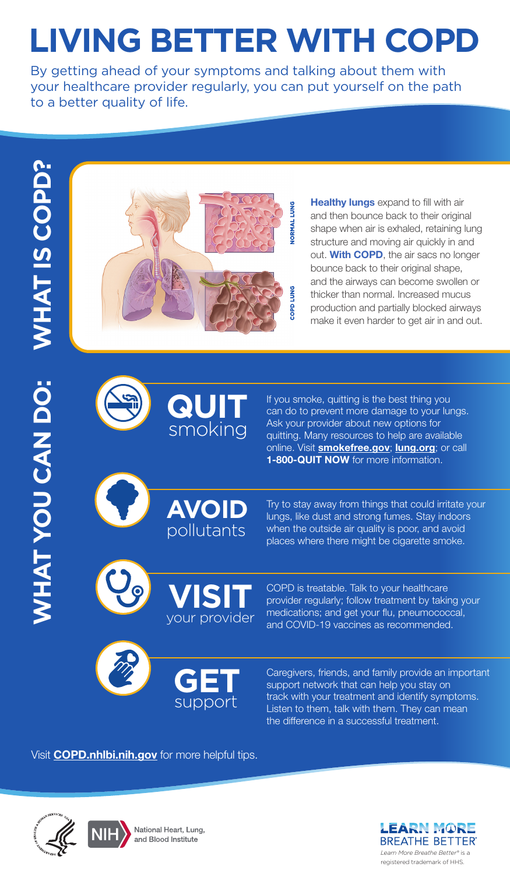# **LIVING BETTER WITH COPD**

By getting ahead of your symptoms and talking about them with your healthcare provider regularly, you can put yourself on the path to a better quality of life.



**Healthy lungs** expand to fill with air and then bounce back to their original shape when air is exhaled, retaining lung structure and moving air quickly in and out. **With COPD**, the air sacs no longer bounce back to their original shape, and the airways can become swollen or thicker than normal. Increased mucus production and partially blocked airways make it even harder to get air in and out.



If you smoke, quitting is the best thing you can do to prevent more damage to your lungs. Ask your provider about new options for quitting. Many resources to help are available online. Visit **[smokefree.gov](http://smokefree.gov)**; **[lung.org](http://lung.org)**; or call **1-800-QUIT NOW** for more information.



Try to stay away from things that could irritate your lungs, like dust and strong fumes. Stay indoors when the outside air quality is poor, and avoid places where there might be cigarette smoke.



COPD is treatable. Talk to your healthcare provider regularly; follow treatment by taking your medications; and get your flu, pneumococcal, and COVID-19 vaccines as recommended.



Caregivers, friends, and family provide an important support network that can help you stay on track with your treatment and identify symptoms. Listen to them, talk with them. They can mean the difference in a successful treatment.

Visit **[COPD.nhlbi.nih.gov](http://COPD.nhlbi.nih.gov)** for more helpful tips.